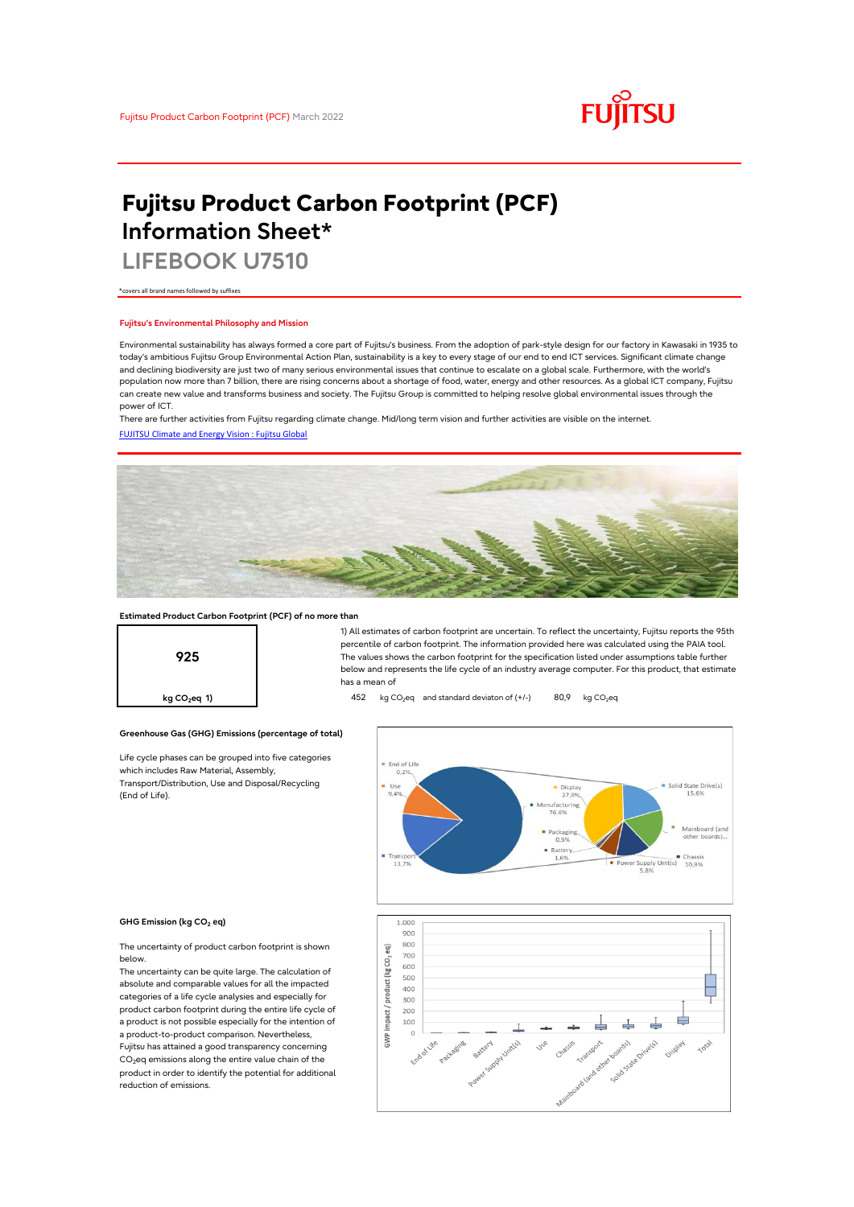

# **Fujitsu Product Carbon Footprint (PCF) Information Sheet\***

**LIFEBOOK U7510**

\*covers all brand names followed by suffixes

# **Fujitsu's Environmental Philosophy and Mission**

Environmental sustainability has always formed a core part of Fujitsu's business. From the adoption of park-style design for our factory in Kawasaki in 1935 to today's ambitious Fujitsu Group Environmental Action Plan, sustainability is a key to every stage of our end to end ICT services. Significant climate change and declining biodiversity are just two of many serious environmental issues that continue to escalate on a global scale. Furthermore, with the world's population now more than 7 billion, there are rising concerns about a shortage of food, water, energy and other resources. As a global ICT company, Fujitsu can create new value and transforms business and society. The Fujitsu Group is committed to helping resolve global environmental issues through the power of ICT.

[FUJITSU Climate and Energy Vision : Fujitsu Global](https://www.fujitsu.com/global/about/environment/climate-energy-vision/) There are further activities from Fujitsu regarding climate change. Mid/long term vision and further activities are visible on the internet.



# **Estimated Product Carbon Footprint (PCF) of no more than**

**Greenhouse Gas (GHG) Emissions (percentage of total)**

Life cycle phases can be grouped into five categories

which includes Raw Material, Assembly, Transport/Distribution, Use and Disposal/Recycling



1) All estimates of carbon footprint are uncertain. To reflect the uncertainty, Fujitsu reports the 95th percentile of carbon footprint. The information provided here was calculated using the PAIA tool. The values shows the carbon footprint for the specification listed under assumptions table further below and represents the life cycle of an industry average computer. For this product, that estimate has a mean of

**kg CO<sub>2</sub>eq 1) 452** kg CO<sub>2</sub>eq and standard deviaton of (+/-) 80,9 kg CO<sub>2</sub>eq



### **GHG Emission (kg CO2 eq)**

(End of Life).

The uncertainty of product carbon footprint is shown below.

The uncertainty can be quite large. The calculation of absolute and comparable values for all the impacted categories of a life cycle analysies and especially for product carbon footprint during the entire life cycle of a product is not possible especially for the intention of a product-to-product comparison. Nevertheless, Fujitsu has attained a good transparency concerning CO<sub>2</sub>eq emissions along the entire value chain of the product in order to identify the potential for additional reduction of emissions.